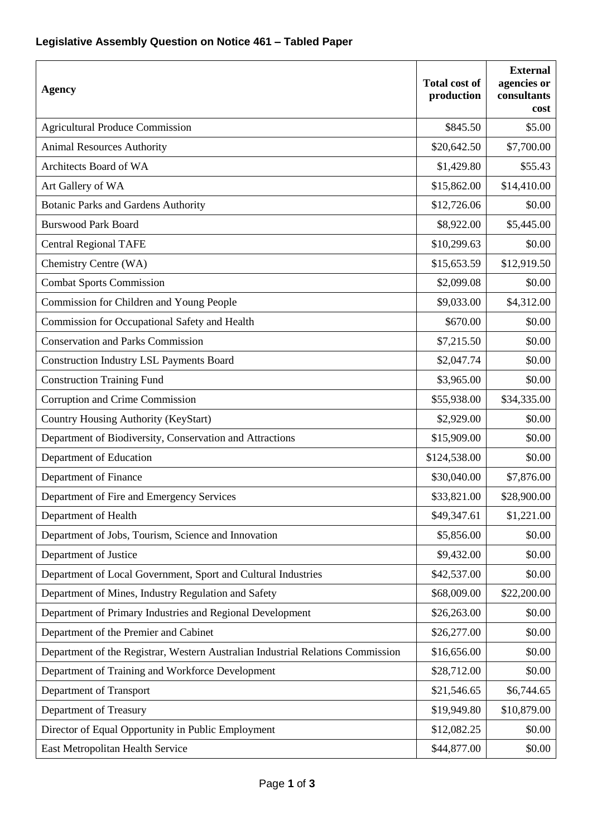## **Legislative Assembly Question on Notice 461 – Tabled Paper**

| <b>Agency</b>                                                                   | <b>Total cost of</b><br>production | <b>External</b><br>agencies or<br>consultants<br>cost |
|---------------------------------------------------------------------------------|------------------------------------|-------------------------------------------------------|
| <b>Agricultural Produce Commission</b>                                          | \$845.50                           | \$5.00                                                |
| <b>Animal Resources Authority</b>                                               | \$20,642.50                        | \$7,700.00                                            |
| Architects Board of WA                                                          | \$1,429.80                         | \$55.43                                               |
| Art Gallery of WA                                                               | \$15,862.00                        | \$14,410.00                                           |
| <b>Botanic Parks and Gardens Authority</b>                                      | \$12,726.06                        | \$0.00                                                |
| <b>Burswood Park Board</b>                                                      | \$8,922.00                         | \$5,445.00                                            |
| <b>Central Regional TAFE</b>                                                    | \$10,299.63                        | \$0.00                                                |
| Chemistry Centre (WA)                                                           | \$15,653.59                        | \$12,919.50                                           |
| <b>Combat Sports Commission</b>                                                 | \$2,099.08                         | \$0.00                                                |
| Commission for Children and Young People                                        | \$9,033.00                         | \$4,312.00                                            |
| Commission for Occupational Safety and Health                                   | \$670.00                           | \$0.00                                                |
| <b>Conservation and Parks Commission</b>                                        | \$7,215.50                         | \$0.00                                                |
| <b>Construction Industry LSL Payments Board</b>                                 | \$2,047.74                         | \$0.00                                                |
| <b>Construction Training Fund</b>                                               | \$3,965.00                         | \$0.00                                                |
| Corruption and Crime Commission                                                 | \$55,938.00                        | \$34,335.00                                           |
| Country Housing Authority (KeyStart)                                            | \$2,929.00                         | \$0.00                                                |
| Department of Biodiversity, Conservation and Attractions                        | \$15,909.00                        | \$0.00                                                |
| Department of Education                                                         | \$124,538.00                       | \$0.00                                                |
| Department of Finance                                                           | \$30,040.00                        | \$7,876.00                                            |
| Department of Fire and Emergency Services                                       | \$33,821.00                        | \$28,900.00                                           |
| Department of Health                                                            | \$49,347.61                        | \$1,221.00                                            |
| Department of Jobs, Tourism, Science and Innovation                             | \$5,856.00                         | \$0.00                                                |
| Department of Justice                                                           | \$9,432.00                         | \$0.00                                                |
| Department of Local Government, Sport and Cultural Industries                   | \$42,537.00                        | \$0.00                                                |
| Department of Mines, Industry Regulation and Safety                             | \$68,009.00                        | \$22,200.00                                           |
| Department of Primary Industries and Regional Development                       | \$26,263.00                        | \$0.00                                                |
| Department of the Premier and Cabinet                                           | \$26,277.00                        | \$0.00                                                |
| Department of the Registrar, Western Australian Industrial Relations Commission | \$16,656.00                        | \$0.00                                                |
| Department of Training and Workforce Development                                | \$28,712.00                        | \$0.00                                                |
| Department of Transport                                                         | \$21,546.65                        | \$6,744.65                                            |
| Department of Treasury                                                          | \$19,949.80                        | \$10,879.00                                           |
| Director of Equal Opportunity in Public Employment                              | \$12,082.25                        | \$0.00                                                |
| East Metropolitan Health Service                                                | \$44,877.00                        | \$0.00                                                |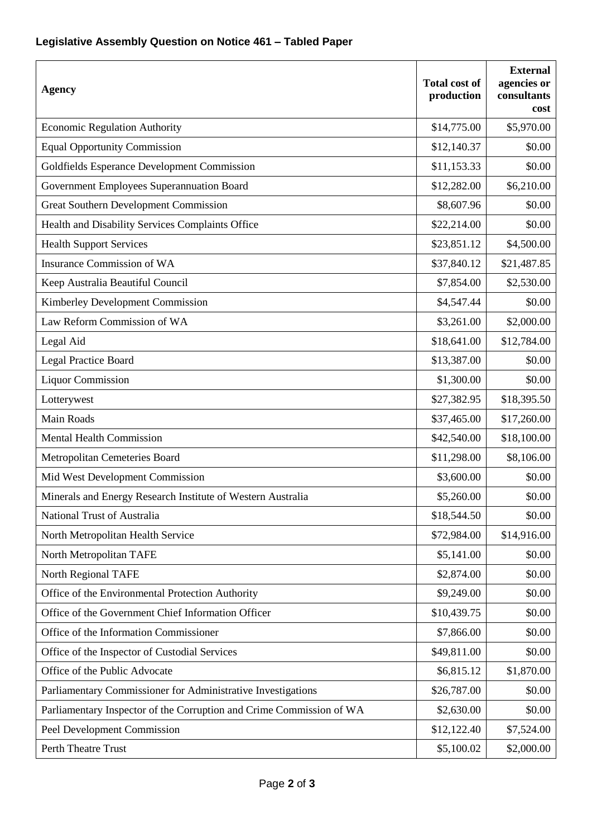## **Legislative Assembly Question on Notice 461 – Tabled Paper**

| <b>Agency</b>                                                        | <b>Total cost of</b><br>production | <b>External</b><br>agencies or<br>consultants<br>cost |
|----------------------------------------------------------------------|------------------------------------|-------------------------------------------------------|
| <b>Economic Regulation Authority</b>                                 | \$14,775.00                        | \$5,970.00                                            |
| <b>Equal Opportunity Commission</b>                                  | \$12,140.37                        | \$0.00                                                |
| Goldfields Esperance Development Commission                          | \$11,153.33                        | \$0.00                                                |
| Government Employees Superannuation Board                            | \$12,282.00                        | \$6,210.00                                            |
| <b>Great Southern Development Commission</b>                         | \$8,607.96                         | \$0.00                                                |
| Health and Disability Services Complaints Office                     | \$22,214.00                        | \$0.00                                                |
| <b>Health Support Services</b>                                       | \$23,851.12                        | \$4,500.00                                            |
| Insurance Commission of WA                                           | \$37,840.12                        | \$21,487.85                                           |
| Keep Australia Beautiful Council                                     | \$7,854.00                         | \$2,530.00                                            |
| Kimberley Development Commission                                     | \$4,547.44                         | \$0.00                                                |
| Law Reform Commission of WA                                          | \$3,261.00                         | \$2,000.00                                            |
| Legal Aid                                                            | \$18,641.00                        | \$12,784.00                                           |
| <b>Legal Practice Board</b>                                          | \$13,387.00                        | \$0.00                                                |
| <b>Liquor Commission</b>                                             | \$1,300.00                         | \$0.00                                                |
| Lotterywest                                                          | \$27,382.95                        | \$18,395.50                                           |
| Main Roads                                                           | \$37,465.00                        | \$17,260.00                                           |
| <b>Mental Health Commission</b>                                      | \$42,540.00                        | \$18,100.00                                           |
| Metropolitan Cemeteries Board                                        | \$11,298.00                        | \$8,106.00                                            |
| Mid West Development Commission                                      | \$3,600.00                         | \$0.00                                                |
| Minerals and Energy Research Institute of Western Australia          | \$5,260.00                         | \$0.00                                                |
| National Trust of Australia                                          | \$18,544.50                        | \$0.00                                                |
| North Metropolitan Health Service                                    | \$72,984.00                        | \$14,916.00                                           |
| North Metropolitan TAFE                                              | \$5,141.00                         | \$0.00                                                |
| North Regional TAFE                                                  | \$2,874.00                         | \$0.00                                                |
| Office of the Environmental Protection Authority                     | \$9,249.00                         | \$0.00                                                |
| Office of the Government Chief Information Officer                   | \$10,439.75                        | \$0.00                                                |
| Office of the Information Commissioner                               | \$7,866.00                         | \$0.00                                                |
| Office of the Inspector of Custodial Services                        | \$49,811.00                        | \$0.00                                                |
| Office of the Public Advocate                                        | \$6,815.12                         | \$1,870.00                                            |
| Parliamentary Commissioner for Administrative Investigations         | \$26,787.00                        | \$0.00                                                |
| Parliamentary Inspector of the Corruption and Crime Commission of WA | \$2,630.00                         | \$0.00                                                |
| Peel Development Commission                                          | \$12,122.40                        | \$7,524.00                                            |
| Perth Theatre Trust                                                  | \$5,100.02                         | \$2,000.00                                            |